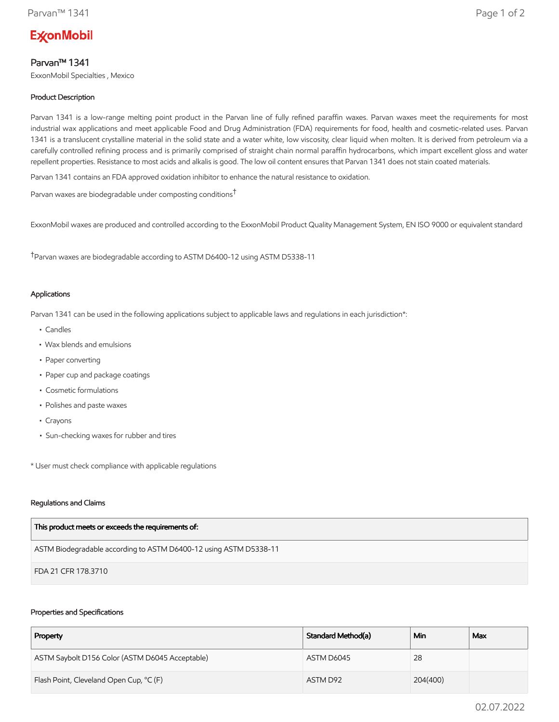# **ExconMobil**

## Parvan™ 1341

ExxonMobil Specialties , Mexico

### Product Description

Parvan 1341 is a low-range melting point product in the Parvan line of fully refined paraffin waxes. Parvan waxes meet the requirements for most industrial wax applications and meet applicable Food and Drug Administration (FDA) requirements for food, health and cosmetic-related uses. Parvan 1341 is a translucent crystalline material in the solid state and a water white, low viscosity, clear liquid when molten. It is derived from petroleum via a carefully controlled refining process and is primarily comprised of straight chain normal paraffin hydrocarbons, which impart excellent gloss and water repellent properties. Resistance to most acids and alkalis is good. The low oil content ensures that Parvan 1341 does not stain coated materials.

Parvan 1341 contains an FDA approved oxidation inhibitor to enhance the natural resistance to oxidation.

Parvan waxes are biodegradable under composting conditions†

ExxonMobil waxes are produced and controlled according to the ExxonMobil Product Quality Management System, EN ISO 9000 or equivalent standard

†Parvan waxes are biodegradable according to ASTM D6400-12 using ASTM D5338-11

#### Applications

Parvan 1341 can be used in the following applications subject to applicable laws and regulations in each jurisdiction\*:

- Candles
- Wax blends and emulsions
- Paper converting
- Paper cup and package coatings
- Cosmetic formulations
- Polishes and paste waxes
- Crayons
- Sun-checking waxes for rubber and tires

\* User must check compliance with applicable regulations

#### Regulations and Claims

| This product meets or exceeds the requirements of:                |
|-------------------------------------------------------------------|
| ASTM Biodegradable according to ASTM D6400-12 using ASTM D5338-11 |
| FDA 21 CFR 178.3710                                               |

#### Properties and Specifications

| Property                                        | Standard Method(a) | Min      | Max |
|-------------------------------------------------|--------------------|----------|-----|
| ASTM Saybolt D156 Color (ASTM D6045 Acceptable) | ASTM D6045         | 28       |     |
| Flash Point, Cleveland Open Cup, °C (F)         | ASTM D92           | 204(400) |     |